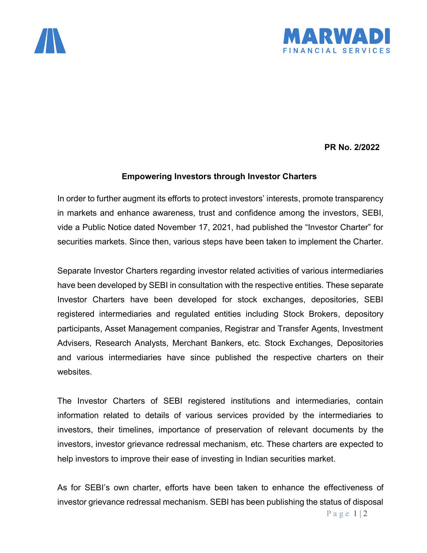



**PR No. 2/2022**

## **Empowering Investors through Investor Charters**

In order to further augment its efforts to protect investors' interests, promote transparency in markets and enhance awareness, trust and confidence among the investors, SEBI, vide a Public Notice dated November 17, 2021, had published the "Investor Charter" for securities markets. Since then, various steps have been taken to implement the Charter.

Separate Investor Charters regarding investor related activities of various intermediaries have been developed by SEBI in consultation with the respective entities. These separate Investor Charters have been developed for stock exchanges, depositories, SEBI registered intermediaries and regulated entities including Stock Brokers, depository participants, Asset Management companies, Registrar and Transfer Agents, Investment Advisers, Research Analysts, Merchant Bankers, etc. Stock Exchanges, Depositories and various intermediaries have since published the respective charters on their websites.

The Investor Charters of SEBI registered institutions and intermediaries, contain information related to details of various services provided by the intermediaries to investors, their timelines, importance of preservation of relevant documents by the investors, investor grievance redressal mechanism, etc. These charters are expected to help investors to improve their ease of investing in Indian securities market.

As for SEBI's own charter, efforts have been taken to enhance the effectiveness of investor grievance redressal mechanism. SEBI has been publishing the status of disposal